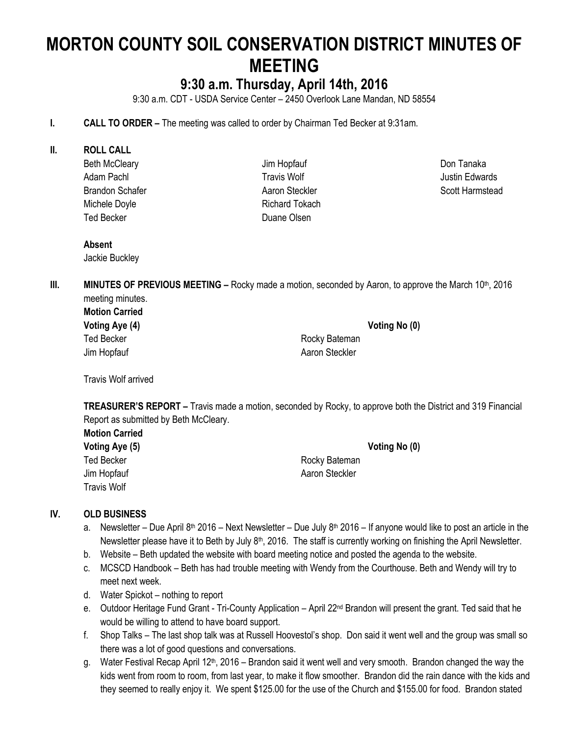# **MORTON COUNTY SOIL CONSERVATION DISTRICT MINUTES OF MEETING**

# **9:30 a.m. Thursday, April 14th, 2016**

9:30 a.m. CDT - USDA Service Center – 2450 Overlook Lane Mandan, ND 58554

- **I. CALL TO ORDER –** The meeting was called to order by Chairman Ted Becker at 9:31am.
- **II. ROLL CALL**
	- Beth McCleary Adam Pachl Brandon Schafer Michele Doyle Ted Becker

Jim Hopfauf Travis Wolf Aaron Steckler Richard Tokach Duane Olsen

Don Tanaka Justin Edwards Scott Harmstead

#### **Absent**

Jackie Buckley

**III. MINUTES OF PREVIOUS MEETING** – Rocky made a motion, seconded by Aaron, to approve the March 10<sup>th</sup>, 2016 meeting minutes.

| <b>Motion Carried</b> |                |               |
|-----------------------|----------------|---------------|
| Voting Aye (4)        |                | Voting No (0) |
| Ted Becker            | Rocky Bateman  |               |
| Jim Hopfauf           | Aaron Steckler |               |

Travis Wolf arrived

**TREASURER'S REPORT –** Travis made a motion, seconded by Rocky, to approve both the District and 319 Financial Report as submitted by Beth McCleary.

| <b>Motion Carried</b> |                |
|-----------------------|----------------|
| Voting Aye (5)        | Voting No (0)  |
| <b>Ted Becker</b>     | Rocky Bateman  |
| Jim Hopfauf           | Aaron Steckler |
| Travis Wolf           |                |

#### **IV. OLD BUSINESS**

- a. Newsletter Due April 8<sup>th</sup> 2016 Next Newsletter Due July 8<sup>th</sup> 2016 If anyone would like to post an article in the Newsletter please have it to Beth by July 8<sup>th</sup>, 2016. The staff is currently working on finishing the April Newsletter.
- b. Website Beth updated the website with board meeting notice and posted the agenda to the website.
- c. MCSCD Handbook Beth has had trouble meeting with Wendy from the Courthouse. Beth and Wendy will try to meet next week.
- d. Water Spickot nothing to report
- e. Outdoor Heritage Fund Grant Tri-County Application April 22<sup>nd</sup> Brandon will present the grant. Ted said that he would be willing to attend to have board support.
- f. Shop Talks The last shop talk was at Russell Hoovestol's shop. Don said it went well and the group was small so there was a lot of good questions and conversations.
- g. Water Festival Recap April 12<sup>th</sup>, 2016 Brandon said it went well and very smooth. Brandon changed the way the kids went from room to room, from last year, to make it flow smoother. Brandon did the rain dance with the kids and they seemed to really enjoy it. We spent \$125.00 for the use of the Church and \$155.00 for food. Brandon stated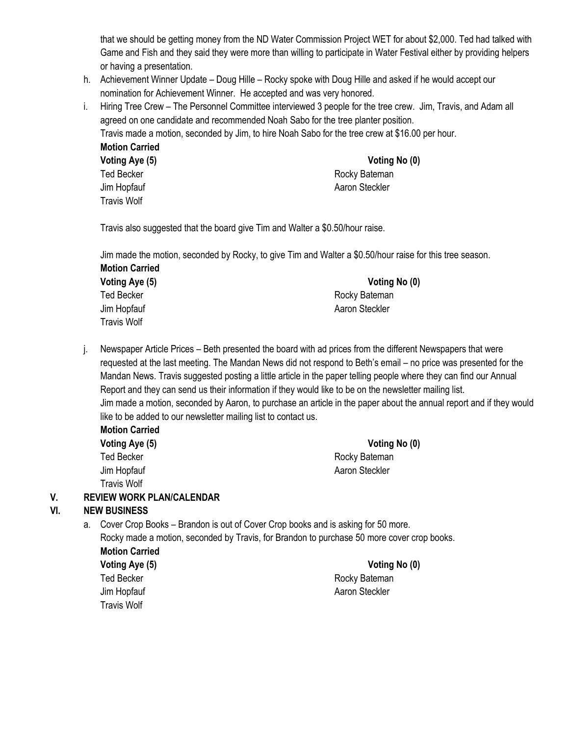that we should be getting money from the ND Water Commission Project WET for about \$2,000. Ted had talked with Game and Fish and they said they were more than willing to participate in Water Festival either by providing helpers or having a presentation.

- h. Achievement Winner Update Doug Hille Rocky spoke with Doug Hille and asked if he would accept our nomination for Achievement Winner. He accepted and was very honored.
- i. Hiring Tree Crew The Personnel Committee interviewed 3 people for the tree crew. Jim, Travis, and Adam all agreed on one candidate and recommended Noah Sabo for the tree planter position.

Travis made a motion, seconded by Jim, to hire Noah Sabo for the tree crew at \$16.00 per hour. **Motion Carried**

| <b>Voting Aye (5)</b> |
|-----------------------|
| <b>Ted Becker</b>     |
| Jim Hopfauf           |
| <b>Travis Wolf</b>    |

#### **Voting Aye (5) Voting No (0)** Rocky Bateman Aaron Steckler

Travis also suggested that the board give Tim and Walter a \$0.50/hour raise.

Jim made the motion, seconded by Rocky, to give Tim and Walter a \$0.50/hour raise for this tree season. **Motion Carried**

| Voting Aye (5)     | Voting No (0)  |
|--------------------|----------------|
| <b>Ted Becker</b>  | Rocky Bateman  |
| Jim Hopfauf        | Aaron Steckler |
| <b>Travis Wolf</b> |                |

j. Newspaper Article Prices – Beth presented the board with ad prices from the different Newspapers that were requested at the last meeting. The Mandan News did not respond to Beth's email – no price was presented for the Mandan News. Travis suggested posting a little article in the paper telling people where they can find our Annual Report and they can send us their information if they would like to be on the newsletter mailing list. Jim made a motion, seconded by Aaron, to purchase an article in the paper about the annual report and if they would like to be added to our newsletter mailing list to contact us.

| <b>Motion Carried</b> | Voting No (0)  |  |
|-----------------------|----------------|--|
| Voting Aye (5)        |                |  |
| Ted Becker            | Rocky Bateman  |  |
| Jim Hopfauf           | Aaron Steckler |  |
| Travis Wolf           |                |  |

### **V. REVIEW WORK PLAN/CALENDAR**

### **VI. NEW BUSINESS**

- a. Cover Crop Books Brandon is out of Cover Crop books and is asking for 50 more. Rocky made a motion, seconded by Travis, for Brandon to purchase 50 more cover crop books. **Motion Carried Voting Aye (5) Voting No (0)**
	- Travis Wolf

Ted Becker **Rocky** Bateman Jim Hopfauf **Aaron Steckler** Aaron Steckler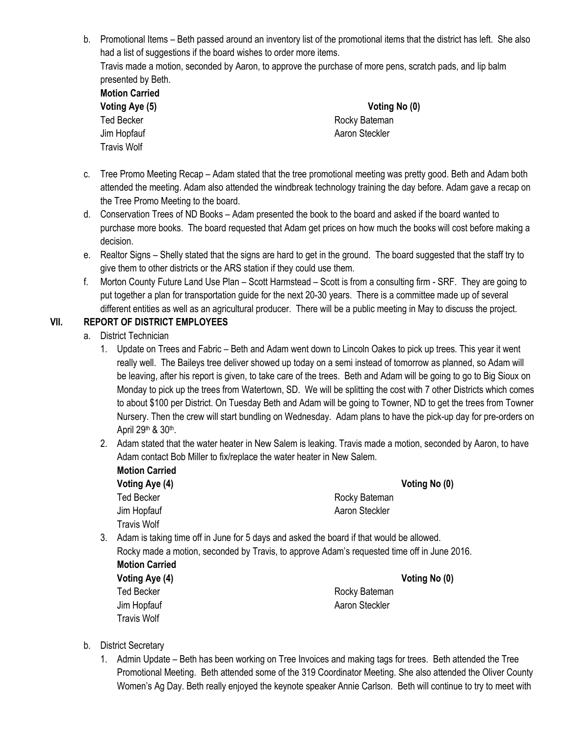b. Promotional Items – Beth passed around an inventory list of the promotional items that the district has left. She also had a list of suggestions if the board wishes to order more items. Travis made a motion, seconded by Aaron, to approve the purchase of more pens, scratch pads, and lip balm

| presented by Beth.    |  |  |
|-----------------------|--|--|
| <b>Motion Carried</b> |  |  |
| Voting Aye (5)        |  |  |
| <b>Ted Becker</b>     |  |  |
| Jim Hopfauf           |  |  |
| Travis Wolf           |  |  |

**Voting No (0)** Rocky Bateman Aaron Steckler

- c. Tree Promo Meeting Recap Adam stated that the tree promotional meeting was pretty good. Beth and Adam both attended the meeting. Adam also attended the windbreak technology training the day before. Adam gave a recap on the Tree Promo Meeting to the board.
- d. Conservation Trees of ND Books Adam presented the book to the board and asked if the board wanted to purchase more books. The board requested that Adam get prices on how much the books will cost before making a decision.
- e. Realtor Signs Shelly stated that the signs are hard to get in the ground. The board suggested that the staff try to give them to other districts or the ARS station if they could use them.
- f. Morton County Future Land Use Plan Scott Harmstead Scott is from a consulting firm SRF. They are going to put together a plan for transportation guide for the next 20-30 years. There is a committee made up of several different entities as well as an agricultural producer. There will be a public meeting in May to discuss the project.

## **VII. REPORT OF DISTRICT EMPLOYEES**

- a. District Technician
	- 1. Update on Trees and Fabric Beth and Adam went down to Lincoln Oakes to pick up trees. This year it went really well. The Baileys tree deliver showed up today on a semi instead of tomorrow as planned, so Adam will be leaving, after his report is given, to take care of the trees. Beth and Adam will be going to go to Big Sioux on Monday to pick up the trees from Watertown, SD. We will be splitting the cost with 7 other Districts which comes to about \$100 per District. On Tuesday Beth and Adam will be going to Towner, ND to get the trees from Towner Nursery. Then the crew will start bundling on Wednesday. Adam plans to have the pick-up day for pre-orders on April 29<sup>th</sup> & 30<sup>th</sup>.
	- 2. Adam stated that the water heater in New Salem is leaking. Travis made a motion, seconded by Aaron, to have Adam contact Bob Miller to fix/replace the water heater in New Salem.
		- **Motion Carried Voting Aye (4) Voting No (0)** Ted Becker **Rocky** Bateman Jim Hopfauf **Aaron Steckler** Aaron Steckler

Travis Wolf

- 3. Adam is taking time off in June for 5 days and asked the board if that would be allowed. Rocky made a motion, seconded by Travis, to approve Adam's requested time off in June 2016. **Motion Carried**
	- **Voting Aye (4) Voting No (0)** Travis Wolf

Ted Becker **Rocky Bateman** Jim Hopfauf **Aaron Steckler** Aaron Steckler

- b. District Secretary
	- 1. Admin Update Beth has been working on Tree Invoices and making tags for trees. Beth attended the Tree Promotional Meeting. Beth attended some of the 319 Coordinator Meeting. She also attended the Oliver County Women's Ag Day. Beth really enjoyed the keynote speaker Annie Carlson. Beth will continue to try to meet with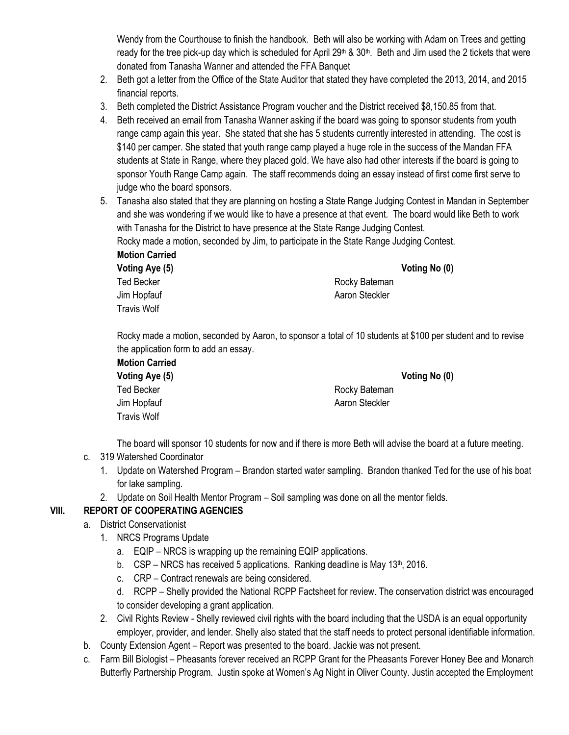Wendy from the Courthouse to finish the handbook. Beth will also be working with Adam on Trees and getting ready for the tree pick-up day which is scheduled for April 29<sup>th</sup> & 30<sup>th</sup>. Beth and Jim used the 2 tickets that were donated from Tanasha Wanner and attended the FFA Banquet

- 2. Beth got a letter from the Office of the State Auditor that stated they have completed the 2013, 2014, and 2015 financial reports.
- 3. Beth completed the District Assistance Program voucher and the District received \$8,150.85 from that.
- 4. Beth received an email from Tanasha Wanner asking if the board was going to sponsor students from youth range camp again this year. She stated that she has 5 students currently interested in attending. The cost is \$140 per camper. She stated that youth range camp played a huge role in the success of the Mandan FFA students at State in Range, where they placed gold. We have also had other interests if the board is going to sponsor Youth Range Camp again. The staff recommends doing an essay instead of first come first serve to judge who the board sponsors.
- 5. Tanasha also stated that they are planning on hosting a State Range Judging Contest in Mandan in September and she was wondering if we would like to have a presence at that event. The board would like Beth to work with Tanasha for the District to have presence at the State Range Judging Contest.

Rocky made a motion, seconded by Jim, to participate in the State Range Judging Contest.

**Motion Carried Voting Aye (5) Voting No (0)**

Travis Wolf

Ted Becker **Rocky** Bateman Jim Hopfauf **Aaron Steckler** Aaron Steckler

Rocky made a motion, seconded by Aaron, to sponsor a total of 10 students at \$100 per student and to revise the application form to add an essay. **Motion Carried**

| motion Carried |                |
|----------------|----------------|
| Voting Aye (5) | Voting No (0)  |
| Ted Becker     | Rocky Bateman  |
| Jim Hopfauf    | Aaron Steckler |
| Travis Wolf    |                |

The board will sponsor 10 students for now and if there is more Beth will advise the board at a future meeting.

## c. 319 Watershed Coordinator

- 1. Update on Watershed Program Brandon started water sampling. Brandon thanked Ted for the use of his boat for lake sampling.
- 2. Update on Soil Health Mentor Program Soil sampling was done on all the mentor fields.

## **VIII. REPORT OF COOPERATING AGENCIES**

- a. District Conservationist
	- 1. NRCS Programs Update
		- a. EQIP NRCS is wrapping up the remaining EQIP applications.
		- b.  $CSP NRCS$  has received 5 applications. Ranking deadline is May 13<sup>th</sup>, 2016.
		- c. CRP Contract renewals are being considered.
		- d. RCPP Shelly provided the National RCPP Factsheet for review. The conservation district was encouraged to consider developing a grant application.
	- 2. Civil Rights Review Shelly reviewed civil rights with the board including that the USDA is an equal opportunity employer, provider, and lender. Shelly also stated that the staff needs to protect personal identifiable information.
- b. County Extension Agent Report was presented to the board. Jackie was not present.
- c. Farm Bill Biologist Pheasants forever received an RCPP Grant for the Pheasants Forever Honey Bee and Monarch Butterfly Partnership Program. Justin spoke at Women's Ag Night in Oliver County. Justin accepted the Employment